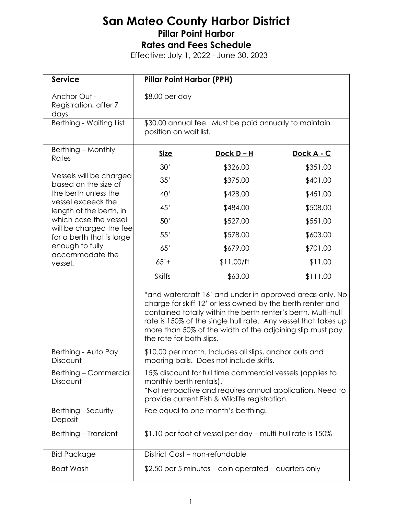| <b>Service</b>                                                                                                                                          | <b>Pillar Point Harbor (PPH)</b>                                                                                                                                                                                                                                                                                                                   |                   |            |
|---------------------------------------------------------------------------------------------------------------------------------------------------------|----------------------------------------------------------------------------------------------------------------------------------------------------------------------------------------------------------------------------------------------------------------------------------------------------------------------------------------------------|-------------------|------------|
| Anchor Out -<br>Registration, after 7<br>days                                                                                                           | \$8.00 per day                                                                                                                                                                                                                                                                                                                                     |                   |            |
| Berthing - Waiting List                                                                                                                                 | \$30.00 annual fee. Must be paid annually to maintain<br>position on wait list.                                                                                                                                                                                                                                                                    |                   |            |
| Berthing - Monthly<br>Rates<br>Vessels will be charged<br>based on the size of<br>the berth unless the<br>vessel exceeds the<br>length of the berth, in | <b>Size</b>                                                                                                                                                                                                                                                                                                                                        | <u>Dock D – H</u> | Dock A - C |
|                                                                                                                                                         | 30'                                                                                                                                                                                                                                                                                                                                                | \$326.00          | \$351.00   |
|                                                                                                                                                         | 35'                                                                                                                                                                                                                                                                                                                                                | \$375.00          | \$401.00   |
|                                                                                                                                                         | 40'                                                                                                                                                                                                                                                                                                                                                | \$428.00          | \$451.00   |
|                                                                                                                                                         | 45'                                                                                                                                                                                                                                                                                                                                                | \$484.00          | \$508.00   |
| which case the vessel                                                                                                                                   | 50'                                                                                                                                                                                                                                                                                                                                                | \$527.00          | \$551.00   |
| will be charged the fee<br>for a berth that is large                                                                                                    | 55'                                                                                                                                                                                                                                                                                                                                                | \$578.00          | \$603.00   |
| enough to fully                                                                                                                                         | 65'                                                                                                                                                                                                                                                                                                                                                | \$679.00          | \$701.00   |
| accommodate the<br>vessel.                                                                                                                              | $65'$ +                                                                                                                                                                                                                                                                                                                                            | \$11.00/ft        | \$11.00    |
|                                                                                                                                                         | <b>Skiffs</b>                                                                                                                                                                                                                                                                                                                                      | \$63.00           | \$111.00   |
|                                                                                                                                                         | *and watercraft 16' and under in approved areas only. No<br>charge for skiff 12' or less owned by the berth renter and<br>contained totally within the berth renter's berth. Multi-hull<br>rate is 150% of the single hull rate. Any vessel that takes up<br>more than 50% of the width of the adjoining slip must pay<br>the rate for both slips. |                   |            |
| Berthing - Auto Pay<br>Discount                                                                                                                         | \$10.00 per month. Includes all slips, anchor outs and<br>mooring balls. Does not include skiffs.                                                                                                                                                                                                                                                  |                   |            |
| Berthing – Commercial<br>Discount                                                                                                                       | 15% discount for full time commercial vessels (applies to<br>monthly berth rentals).<br>*Not retroactive and requires annual application. Need to<br>provide current Fish & Wildlife registration.                                                                                                                                                 |                   |            |
| Berthing - Security<br>Deposit                                                                                                                          | Fee equal to one month's berthing.                                                                                                                                                                                                                                                                                                                 |                   |            |
| Berthing - Transient                                                                                                                                    | \$1.10 per foot of vessel per day - multi-hull rate is 150%                                                                                                                                                                                                                                                                                        |                   |            |
| <b>Bid Package</b>                                                                                                                                      | District Cost - non-refundable                                                                                                                                                                                                                                                                                                                     |                   |            |
| <b>Boat Wash</b>                                                                                                                                        | \$2.50 per 5 minutes – coin operated – quarters only                                                                                                                                                                                                                                                                                               |                   |            |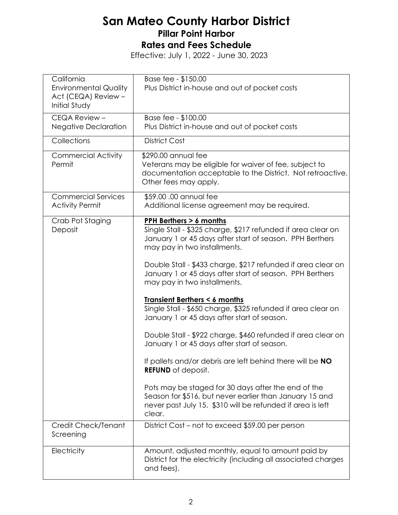| California<br><b>Environmental Quality</b><br>Act (CEQA) Review -<br><b>Initial Study</b> | Base fee - \$150.00<br>Plus District in-house and out of pocket costs                                                                                                                                                                                                                                                                                                                                                                                                                                                                                                                                                                                                                                                                                                                                                                                                                                        |
|-------------------------------------------------------------------------------------------|--------------------------------------------------------------------------------------------------------------------------------------------------------------------------------------------------------------------------------------------------------------------------------------------------------------------------------------------------------------------------------------------------------------------------------------------------------------------------------------------------------------------------------------------------------------------------------------------------------------------------------------------------------------------------------------------------------------------------------------------------------------------------------------------------------------------------------------------------------------------------------------------------------------|
| CEQA Review -<br><b>Negative Declaration</b>                                              | Base fee - \$100.00<br>Plus District in-house and out of pocket costs                                                                                                                                                                                                                                                                                                                                                                                                                                                                                                                                                                                                                                                                                                                                                                                                                                        |
| Collections                                                                               | <b>District Cost</b>                                                                                                                                                                                                                                                                                                                                                                                                                                                                                                                                                                                                                                                                                                                                                                                                                                                                                         |
| <b>Commercial Activity</b><br>Permit                                                      | \$290.00 annual fee<br>Veterans may be eligible for waiver of fee, subject to<br>documentation acceptable to the District. Not retroactive.<br>Other fees may apply.                                                                                                                                                                                                                                                                                                                                                                                                                                                                                                                                                                                                                                                                                                                                         |
| <b>Commercial Services</b><br><b>Activity Permit</b>                                      | \$59.00.00 annual fee<br>Additional license agreement may be required.                                                                                                                                                                                                                                                                                                                                                                                                                                                                                                                                                                                                                                                                                                                                                                                                                                       |
| Crab Pot Staging<br>Deposit                                                               | PPH Berthers > 6 months<br>Single Stall - \$325 charge, \$217 refunded if area clear on<br>January 1 or 45 days after start of season. PPH Berthers<br>may pay in two installments.<br>Double Stall - \$433 charge, \$217 refunded if area clear on<br>January 1 or 45 days after start of season. PPH Berthers<br>may pay in two installments.<br><b>Transient Berthers &lt; 6 months</b><br>Single Stall - \$650 charge, \$325 refunded if area clear on<br>January 1 or 45 days after start of season.<br>Double Stall - \$922 charge, \$460 refunded if area clear on<br>January 1 or 45 days after start of season.<br>If pallets and/or debris are left behind there will be NO<br><b>REFUND</b> of deposit.<br>Pots may be staged for 30 days after the end of the<br>Season for \$516, but never earlier than January 15 and<br>never past July 15. \$310 will be refunded if area is left<br>clear. |
| Credit Check/Tenant<br>Screening                                                          | District Cost – not to exceed \$59.00 per person                                                                                                                                                                                                                                                                                                                                                                                                                                                                                                                                                                                                                                                                                                                                                                                                                                                             |
| Electricity                                                                               | Amount, adjusted monthly, equal to amount paid by<br>District for the electricity (including all associated charges<br>and fees).                                                                                                                                                                                                                                                                                                                                                                                                                                                                                                                                                                                                                                                                                                                                                                            |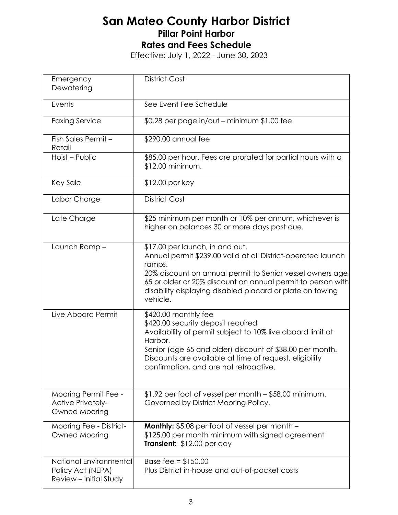| Emergency<br>Dewatering                                               | <b>District Cost</b>                                                                                                                                                                                                                                                                                           |  |
|-----------------------------------------------------------------------|----------------------------------------------------------------------------------------------------------------------------------------------------------------------------------------------------------------------------------------------------------------------------------------------------------------|--|
| Events                                                                | See Event Fee Schedule                                                                                                                                                                                                                                                                                         |  |
| <b>Faxing Service</b>                                                 | $$0.28$ per page in/out – minimum $$1.00$ fee                                                                                                                                                                                                                                                                  |  |
| Fish Sales Permit -<br>Retail                                         | \$290.00 annual fee                                                                                                                                                                                                                                                                                            |  |
| Hoist - Public                                                        | \$85.00 per hour. Fees are prorated for partial hours with a<br>\$12.00 minimum.                                                                                                                                                                                                                               |  |
| <b>Key Sale</b>                                                       | \$12.00 per key                                                                                                                                                                                                                                                                                                |  |
| Labor Charge                                                          | <b>District Cost</b>                                                                                                                                                                                                                                                                                           |  |
| Late Charge                                                           | \$25 minimum per month or 10% per annum, whichever is<br>higher on balances 30 or more days past due.                                                                                                                                                                                                          |  |
| Launch Ramp-                                                          | \$17.00 per launch, in and out.<br>Annual permit \$239.00 valid at all District-operated launch<br>ramps.<br>20% discount on annual permit to Senior vessel owners age<br>65 or older or 20% discount on annual permit to person with<br>disability displaying disabled placard or plate on towing<br>vehicle. |  |
| Live Aboard Permit                                                    | \$420.00 monthly fee<br>\$420.00 security deposit required<br>Availability of permit subject to 10% live aboard limit at<br>Harbor.<br>Senior (age 65 and older) discount of \$38.00 per month.<br>Discounts are available at time of request, eligibility<br>confirmation, and are not retroactive.           |  |
| Mooring Permit Fee -<br><b>Active Privately-</b><br>Owned Mooring     | \$1.92 per foot of vessel per month - \$58.00 minimum.<br>Governed by District Mooring Policy.                                                                                                                                                                                                                 |  |
| Mooring Fee - District-<br>Owned Mooring                              | <b>Monthly:</b> \$5.08 per foot of vessel per month -<br>\$125.00 per month minimum with signed agreement<br>Transient: \$12.00 per day                                                                                                                                                                        |  |
| National Environmental<br>Policy Act (NEPA)<br>Review - Initial Study | Base fee = $$150.00$<br>Plus District in-house and out-of-pocket costs                                                                                                                                                                                                                                         |  |